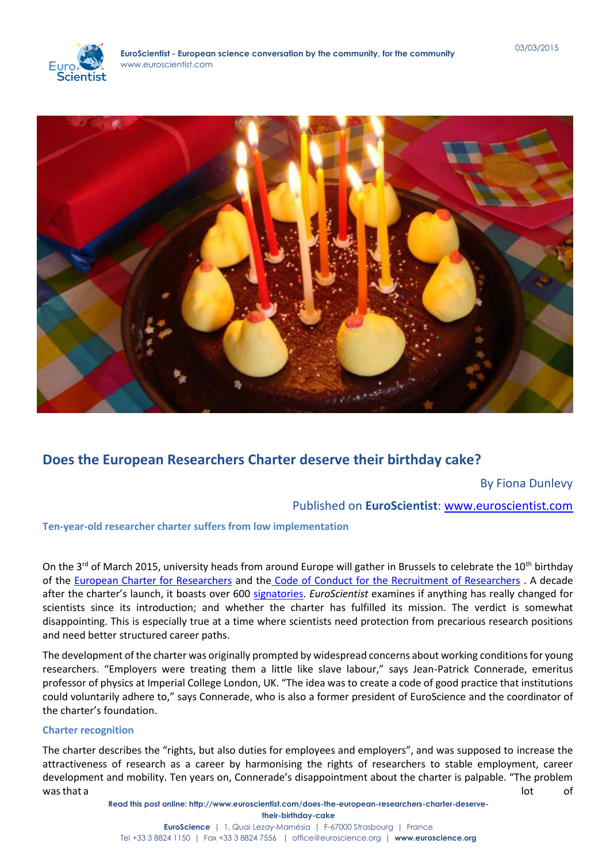

# **Does the European Researchers Charter deserve their birthday cake?**

# By Fiona Dunlevy

# Published on **EuroScientist**: [www.euroscientist.com](http://www.euroscientist.com/)

# **Ten-year-old researcher charter suffers from low implementation**

On the 3<sup>rd</sup> of March 2015, university heads from around Europe will gather in Brussels to celebrate the 10<sup>th</sup> birthday of the [European Charter for Researchers](file://SRV-AD/Folder%20Redirection/FionaDunlevy/Downloads/1.%09http:/europa.eu/newsroom/calendar/events/2015/03/03_10th_anniversary_charter_code_en.htm) and the [Code of Conduct for the Recruitment of Researchers](file://SRV-AD/Folder%20Redirection/FionaDunlevy/Downloads/1.%09http:/europa.eu/newsroom/calendar/events/2015/03/03_10th_anniversary_charter_code_en.htm) . A decade after the charter's launch, it boasts over 600 [signatories.](http://ec.europa.eu/euraxess/index.cfm/rights/charterAndCode) *EuroScientist* examines if anything has really changed for scientists since its introduction; and whether the charter has fulfilled its mission. The verdict is somewhat disappointing. This is especially true at a time where scientists need protection from precarious research positions and need better structured career paths.

The development of the charter was originally prompted by widespread concerns about working conditions for young researchers. "Employers were treating them a little like slave labour," says Jean-Patrick Connerade, emeritus professor of physics at Imperial College London, UK. "The idea was to create a code of good practice that institutions could voluntarily adhere to," says Connerade, who is also a former president of EuroScience and the coordinator of the charter's foundation.

# **Charter recognition**

The charter describes the "rights, but also duties for employees and employers", and was supposed to increase the attractiveness of research as a career by harmonising the rights of researchers to stable employment, career development and mobility. Ten years on, Connerade's disappointment about the charter is palpable. "The problem was that a lot  $\qquad \qquad$  lot  $\qquad \qquad$  of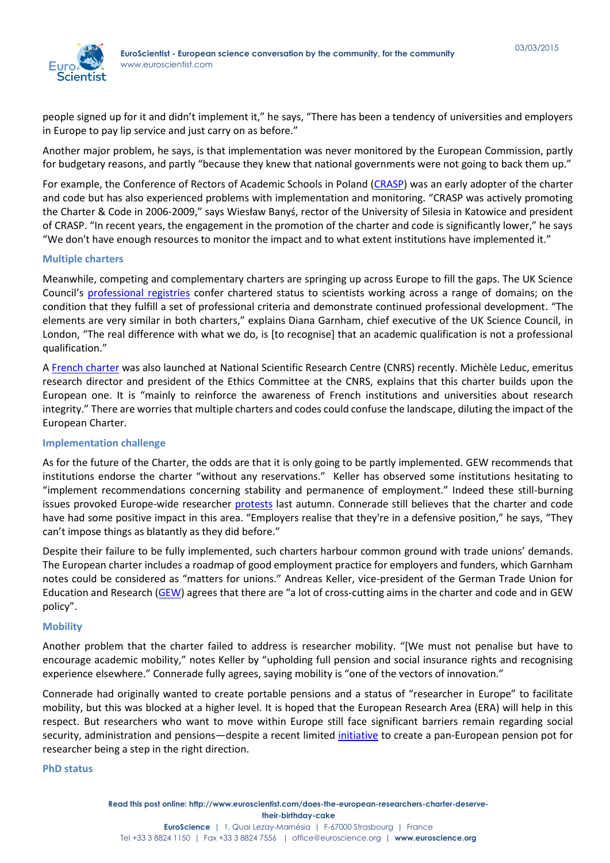

people signed up for it and didn't implement it," he says, "There has been a tendency of universities and employers in Europe to pay lip service and just carry on as before."

Another major problem, he says, is that implementation was never monitored by the European Commission, partly for budgetary reasons, and partly "because they knew that national governments were not going to back them up."

For example, the Conference of Rectors of Academic Schools in Poland [\(CRASP\)](http://www.krasp.org.pl/en/crasp/about_crasp) was an early adopter of the charter and code but has also experienced problems with implementation and monitoring. "CRASP was actively promoting the Charter & Code in 2006-2009," says [Wiesław Banyś,](http://www.krasp.org.pl/pliki/8c9c1b250bcf91b97aaf261624b2b9f2.pdf) rector of the University of Silesia in Katowice and president of CRASP. "In recent years, the engagement in the promotion of the charter and code is significantly lower," he says "We don't have enough resources to monitor the impact and to what extent institutions have implemented it."

#### **Multiple charters**

Meanwhile, competing and complementary charters are springing up across Europe to fill the gaps. The UK Science Council's [professional registries](http://www.sciencecouncil.org/professional) confer chartered status to scientists working across a range of domains; on the condition that they fulfill a set of professional criteria and demonstrate continued professional development. "The elements are very similar in both charters," explains Diana Garnham, chief executive of the UK Science Council, in London, "The real difference with what we do, is [to recognise] that an academic qualification is not a professional qualification."

A [French charter](file://SRV-AD/Folder%20Redirection/FionaDunlevy/Downloads/4.%09http:/www.cnrs.fr/comets/IMG/pdf/charte_nationale__deontologie_signe_e_janvier2015.pdf) was also launched at National Scientific Research Centre (CNRS) recently. Michèle Leduc, emeritus research director and president of the Ethics Committee at the CNRS, explains that this charter builds upon the European one. It is "mainly to reinforce the awareness of French institutions and universities about research integrity." There are worries that multiple charters and codes could confuse the landscape, diluting the impact of the European Charter.

# **Implementation challenge**

As for the future of the Charter, the odds are that it is only going to be partly implemented. GEW recommends that institutions endorse the charter "without any reservations." Keller has observed some institutions hesitating to "implement recommendations concerning stability and permanence of employment." Indeed these still-burning issues provoked Europe-wide researcher [protests](http://www.euroscientist.com/research-activism/) last autumn. Connerade still believes that the charter and code have had some positive impact in this area. "Employers realise that they're in a defensive position," he says, "They can't impose things as blatantly as they did before."

Despite their failure to be fully implemented, such charters harbour common ground with trade unions' demands. The European charter includes a roadmap of good employment practice for employers and funders, which Garnham notes could be considered as "matters for unions." Andreas Keller, vice-president of the German Trade Union for Education and Research [\(GEW\)](http://www.gew.de/Startseite.html) agrees that there are "a lot of cross-cutting aims in the charter and code and in GEW policy".

# **Mobility**

Another problem that the charter failed to address is researcher mobility. "[We must not penalise but have to encourage academic mobility," notes Keller by "upholding full pension and social insurance rights and recognising experience elsewhere." Connerade fully agrees, saying mobility is "one of the vectors of innovation."

Connerade had originally wanted to create portable pensions and a status of "researcher in Europe" to facilitate mobility, but this was blocked at a higher level. It is hoped that the European Research Area (ERA) will help in this respect. But researchers who want to move within Europe still face significant barriers remain regarding social security, administration and pensions—despite a recent limited [initiative](http://www.euroscientist.com/mobility-more-attractive-due-to-new-pan-european-pension-pot/) to create a pan-European pension pot for researcher being a step in the right direction.

#### **PhD status**